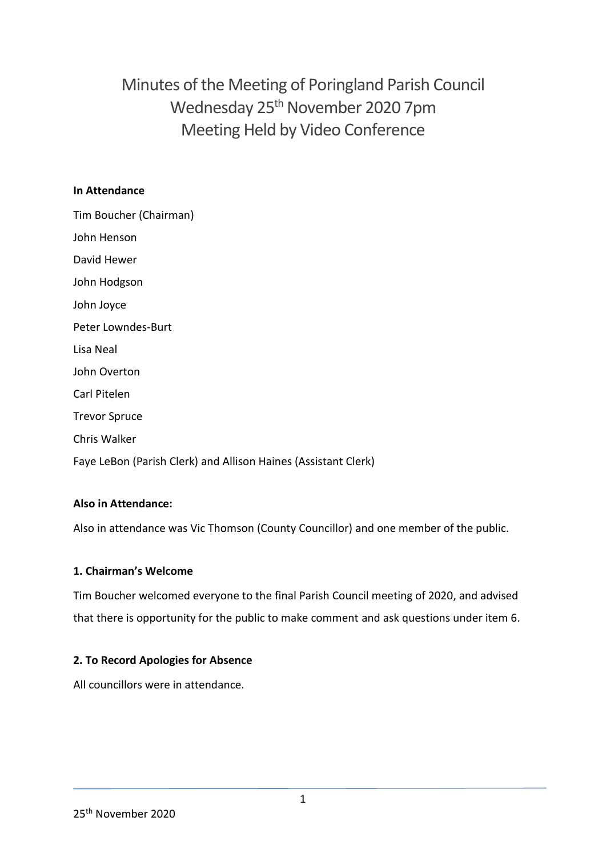Minutes of the Meeting of Poringland Parish Council Wednesday 25<sup>th</sup> November 2020 7pm Meeting Held by Video Conference

#### **In Attendance**

| Tim Boucher (Chairman)                                         |
|----------------------------------------------------------------|
| John Henson                                                    |
| David Hewer                                                    |
| John Hodgson                                                   |
| John Joyce                                                     |
| Peter Lowndes-Burt                                             |
| Lisa Neal                                                      |
| John Overton                                                   |
| Carl Pitelen                                                   |
| <b>Trevor Spruce</b>                                           |
| <b>Chris Walker</b>                                            |
| Faye LeBon (Parish Clerk) and Allison Haines (Assistant Clerk) |

# **Also in Attendance:**

Also in attendance was Vic Thomson (County Councillor) and one member of the public.

#### **1. Chairman's Welcome**

Tim Boucher welcomed everyone to the final Parish Council meeting of 2020, and advised that there is opportunity for the public to make comment and ask questions under item 6.

# **2. To Record Apologies for Absence**

All councillors were in attendance.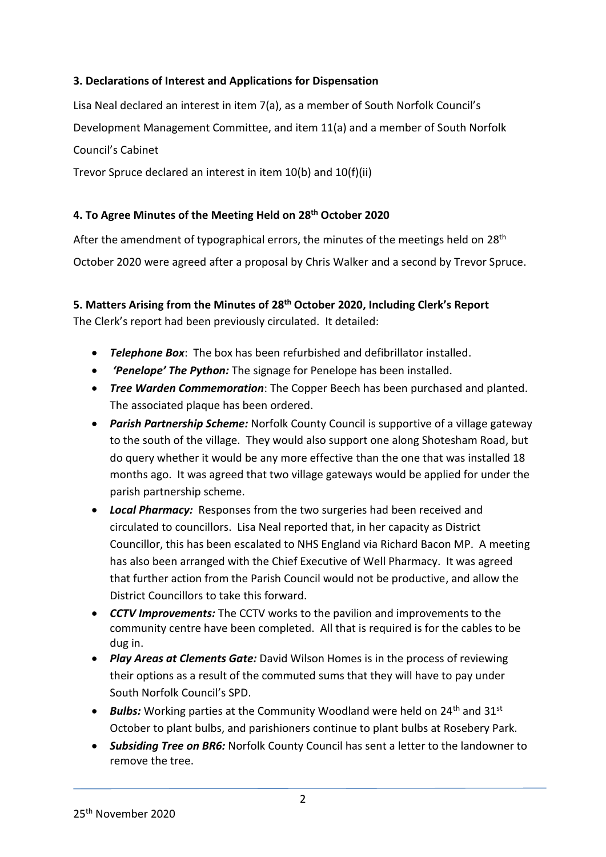# **3. Declarations of Interest and Applications for Dispensation**

Lisa Neal declared an interest in item 7(a), as a member of South Norfolk Council's Development Management Committee, and item 11(a) and a member of South Norfolk Council's Cabinet

Trevor Spruce declared an interest in item 10(b) and 10(f)(ii)

### **4. To Agree Minutes of the Meeting Held on 28th October 2020**

After the amendment of typographical errors, the minutes of the meetings held on  $28<sup>th</sup>$ October 2020 were agreed after a proposal by Chris Walker and a second by Trevor Spruce.

### **5. Matters Arising from the Minutes of 28th October 2020, Including Clerk's Report**

The Clerk's report had been previously circulated. It detailed:

- *Telephone Box*: The box has been refurbished and defibrillator installed.
- *'Penelope' The Python:* The signage for Penelope has been installed.
- *Tree Warden Commemoration*: The Copper Beech has been purchased and planted. The associated plaque has been ordered.
- *Parish Partnership Scheme:* Norfolk County Council is supportive of a village gateway to the south of the village. They would also support one along Shotesham Road, but do query whether it would be any more effective than the one that was installed 18 months ago. It was agreed that two village gateways would be applied for under the parish partnership scheme.
- *Local Pharmacy:* Responses from the two surgeries had been received and circulated to councillors. Lisa Neal reported that, in her capacity as District Councillor, this has been escalated to NHS England via Richard Bacon MP. A meeting has also been arranged with the Chief Executive of Well Pharmacy. It was agreed that further action from the Parish Council would not be productive, and allow the District Councillors to take this forward.
- *CCTV Improvements:* The CCTV works to the pavilion and improvements to the community centre have been completed. All that is required is for the cables to be dug in.
- *Play Areas at Clements Gate:* David Wilson Homes is in the process of reviewing their options as a result of the commuted sums that they will have to pay under South Norfolk Council's SPD.
- *Bulbs:* Working parties at the Community Woodland were held on 24<sup>th</sup> and 31<sup>st</sup> October to plant bulbs, and parishioners continue to plant bulbs at Rosebery Park.
- *Subsiding Tree on BR6:* Norfolk County Council has sent a letter to the landowner to remove the tree.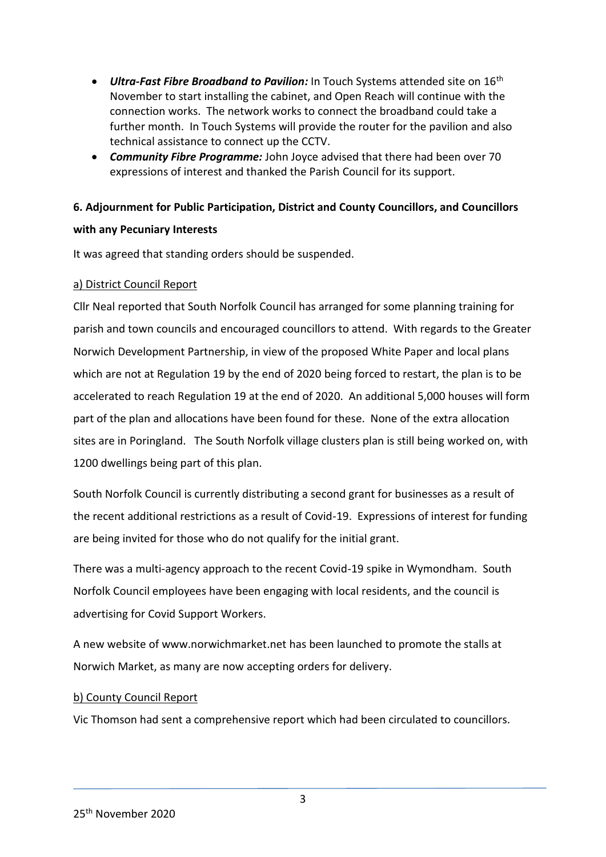- *Ultra-Fast Fibre Broadband to Pavilion:* In Touch Systems attended site on 16th November to start installing the cabinet, and Open Reach will continue with the connection works. The network works to connect the broadband could take a further month. In Touch Systems will provide the router for the pavilion and also technical assistance to connect up the CCTV.
- *Community Fibre Programme:* John Joyce advised that there had been over 70 expressions of interest and thanked the Parish Council for its support.

# **6. Adjournment for Public Participation, District and County Councillors, and Councillors with any Pecuniary Interests**

# It was agreed that standing orders should be suspended.

#### a) District Council Report

Cllr Neal reported that South Norfolk Council has arranged for some planning training for parish and town councils and encouraged councillors to attend. With regards to the Greater Norwich Development Partnership, in view of the proposed White Paper and local plans which are not at Regulation 19 by the end of 2020 being forced to restart, the plan is to be accelerated to reach Regulation 19 at the end of 2020. An additional 5,000 houses will form part of the plan and allocations have been found for these. None of the extra allocation sites are in Poringland. The South Norfolk village clusters plan is still being worked on, with 1200 dwellings being part of this plan.

South Norfolk Council is currently distributing a second grant for businesses as a result of the recent additional restrictions as a result of Covid-19. Expressions of interest for funding are being invited for those who do not qualify for the initial grant.

There was a multi-agency approach to the recent Covid-19 spike in Wymondham. South Norfolk Council employees have been engaging with local residents, and the council is advertising for Covid Support Workers.

A new website of www.norwichmarket.net has been launched to promote the stalls at Norwich Market, as many are now accepting orders for delivery.

#### b) County Council Report

Vic Thomson had sent a comprehensive report which had been circulated to councillors.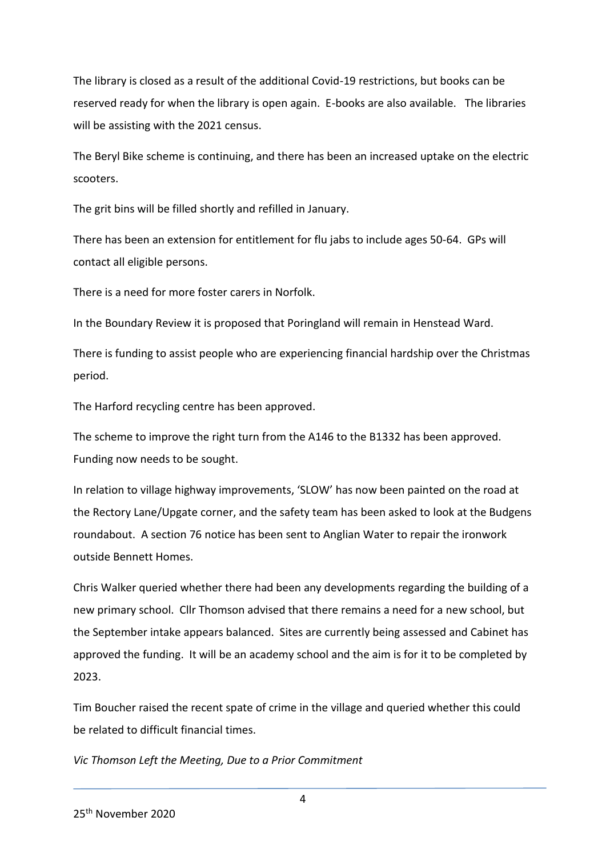The library is closed as a result of the additional Covid-19 restrictions, but books can be reserved ready for when the library is open again. E-books are also available. The libraries will be assisting with the 2021 census.

The Beryl Bike scheme is continuing, and there has been an increased uptake on the electric scooters.

The grit bins will be filled shortly and refilled in January.

There has been an extension for entitlement for flu jabs to include ages 50-64. GPs will contact all eligible persons.

There is a need for more foster carers in Norfolk.

In the Boundary Review it is proposed that Poringland will remain in Henstead Ward.

There is funding to assist people who are experiencing financial hardship over the Christmas period.

The Harford recycling centre has been approved.

The scheme to improve the right turn from the A146 to the B1332 has been approved. Funding now needs to be sought.

In relation to village highway improvements, 'SLOW' has now been painted on the road at the Rectory Lane/Upgate corner, and the safety team has been asked to look at the Budgens roundabout. A section 76 notice has been sent to Anglian Water to repair the ironwork outside Bennett Homes.

Chris Walker queried whether there had been any developments regarding the building of a new primary school. Cllr Thomson advised that there remains a need for a new school, but the September intake appears balanced. Sites are currently being assessed and Cabinet has approved the funding. It will be an academy school and the aim is for it to be completed by 2023.

Tim Boucher raised the recent spate of crime in the village and queried whether this could be related to difficult financial times.

*Vic Thomson Left the Meeting, Due to a Prior Commitment*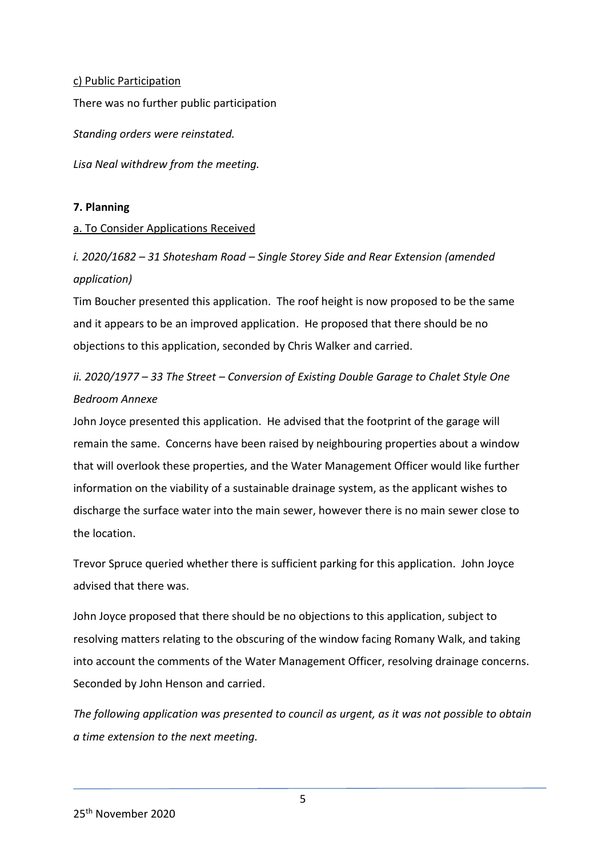#### c) Public Participation

There was no further public participation

*Standing orders were reinstated.* 

*Lisa Neal withdrew from the meeting.* 

#### **7. Planning**

#### a. To Consider Applications Received

*i. 2020/1682 – 31 Shotesham Road – Single Storey Side and Rear Extension (amended application)* 

Tim Boucher presented this application. The roof height is now proposed to be the same and it appears to be an improved application. He proposed that there should be no objections to this application, seconded by Chris Walker and carried.

# *ii. 2020/1977 – 33 The Street – Conversion of Existing Double Garage to Chalet Style One Bedroom Annexe*

John Joyce presented this application. He advised that the footprint of the garage will remain the same. Concerns have been raised by neighbouring properties about a window that will overlook these properties, and the Water Management Officer would like further information on the viability of a sustainable drainage system, as the applicant wishes to discharge the surface water into the main sewer, however there is no main sewer close to the location.

Trevor Spruce queried whether there is sufficient parking for this application. John Joyce advised that there was.

John Joyce proposed that there should be no objections to this application, subject to resolving matters relating to the obscuring of the window facing Romany Walk, and taking into account the comments of the Water Management Officer, resolving drainage concerns. Seconded by John Henson and carried.

*The following application was presented to council as urgent, as it was not possible to obtain a time extension to the next meeting.*

5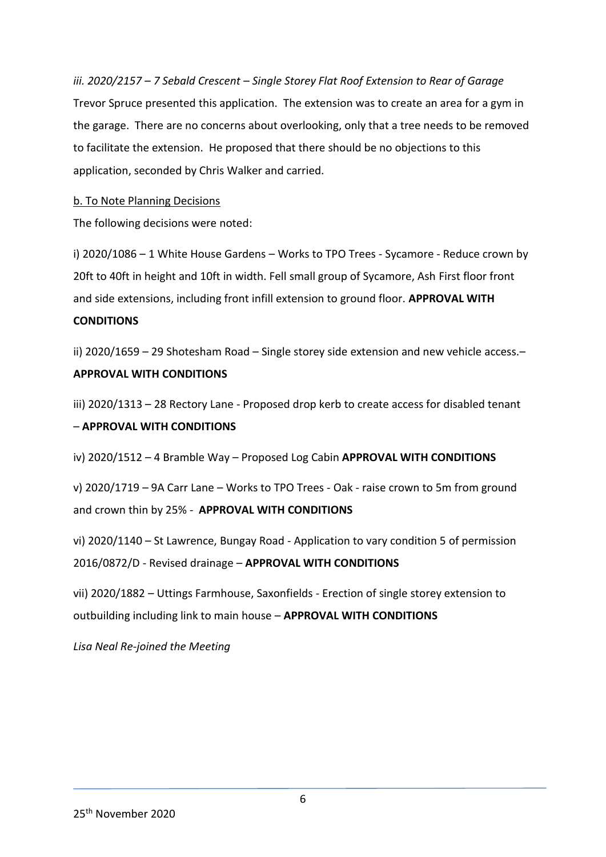*iii. 2020/2157 – 7 Sebald Crescent – Single Storey Flat Roof Extension to Rear of Garage* Trevor Spruce presented this application. The extension was to create an area for a gym in the garage. There are no concerns about overlooking, only that a tree needs to be removed to facilitate the extension. He proposed that there should be no objections to this application, seconded by Chris Walker and carried.

#### b. To Note Planning Decisions

The following decisions were noted:

i) 2020/1086 – 1 White House Gardens – Works to TPO Trees - Sycamore - Reduce crown by 20ft to 40ft in height and 10ft in width. Fell small group of Sycamore, Ash First floor front and side extensions, including front infill extension to ground floor. **APPROVAL WITH** 

#### **CONDITIONS**

ii) 2020/1659 – 29 Shotesham Road – Single storey side extension and new vehicle access.– **APPROVAL WITH CONDITIONS**

iii) 2020/1313 – 28 Rectory Lane - Proposed drop kerb to create access for disabled tenant

#### – **APPROVAL WITH CONDITIONS**

iv) 2020/1512 – 4 Bramble Way – Proposed Log Cabin **APPROVAL WITH CONDITIONS**

v) 2020/1719 – 9A Carr Lane – Works to TPO Trees - Oak - raise crown to 5m from ground and crown thin by 25% - **APPROVAL WITH CONDITIONS**

vi) 2020/1140 – St Lawrence, Bungay Road - Application to vary condition 5 of permission 2016/0872/D - Revised drainage – **APPROVAL WITH CONDITIONS**

vii) 2020/1882 – Uttings Farmhouse, Saxonfields - Erection of single storey extension to outbuilding including link to main house – **APPROVAL WITH CONDITIONS**

*Lisa Neal Re-joined the Meeting*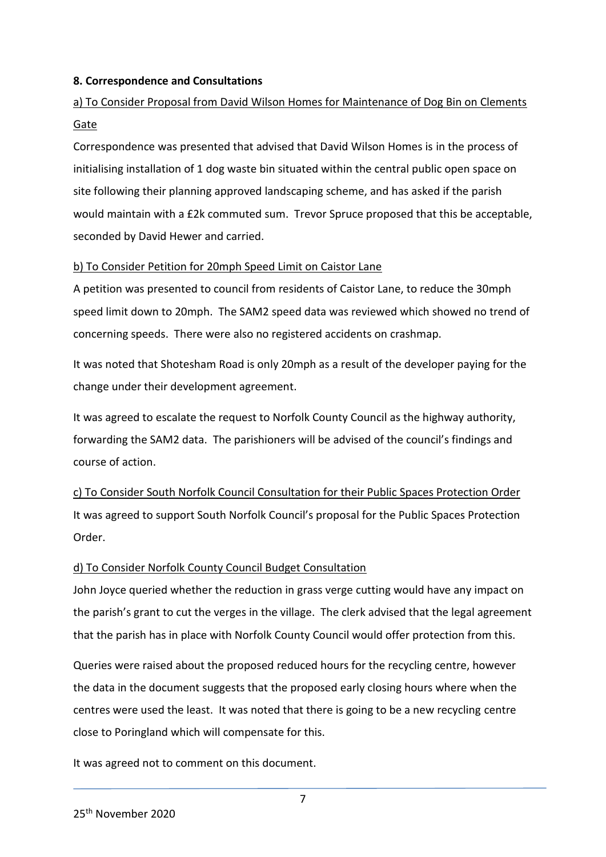#### **8. Correspondence and Consultations**

# a) To Consider Proposal from David Wilson Homes for Maintenance of Dog Bin on Clements Gate

Correspondence was presented that advised that David Wilson Homes is in the process of initialising installation of 1 dog waste bin situated within the central public open space on site following their planning approved landscaping scheme, and has asked if the parish would maintain with a £2k commuted sum. Trevor Spruce proposed that this be acceptable, seconded by David Hewer and carried.

#### b) To Consider Petition for 20mph Speed Limit on Caistor Lane

A petition was presented to council from residents of Caistor Lane, to reduce the 30mph speed limit down to 20mph. The SAM2 speed data was reviewed which showed no trend of concerning speeds. There were also no registered accidents on crashmap.

It was noted that Shotesham Road is only 20mph as a result of the developer paying for the change under their development agreement.

It was agreed to escalate the request to Norfolk County Council as the highway authority, forwarding the SAM2 data. The parishioners will be advised of the council's findings and course of action.

c) To Consider South Norfolk Council Consultation for their Public Spaces Protection Order It was agreed to support South Norfolk Council's proposal for the Public Spaces Protection Order.

#### d) To Consider Norfolk County Council Budget Consultation

John Joyce queried whether the reduction in grass verge cutting would have any impact on the parish's grant to cut the verges in the village. The clerk advised that the legal agreement that the parish has in place with Norfolk County Council would offer protection from this.

Queries were raised about the proposed reduced hours for the recycling centre, however the data in the document suggests that the proposed early closing hours where when the centres were used the least. It was noted that there is going to be a new recycling centre close to Poringland which will compensate for this.

It was agreed not to comment on this document.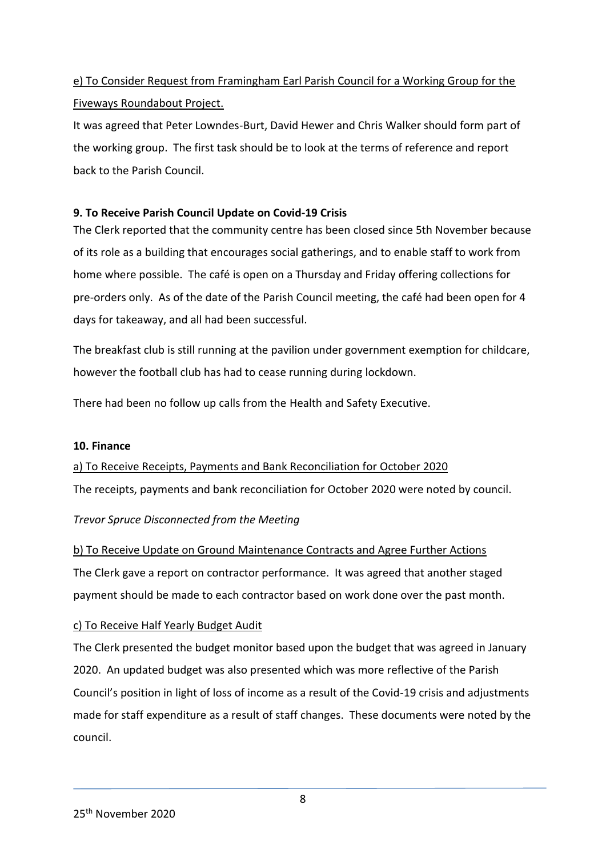# e) To Consider Request from Framingham Earl Parish Council for a Working Group for the Fiveways Roundabout Project.

It was agreed that Peter Lowndes-Burt, David Hewer and Chris Walker should form part of the working group. The first task should be to look at the terms of reference and report back to the Parish Council.

## **9. To Receive Parish Council Update on Covid-19 Crisis**

The Clerk reported that the community centre has been closed since 5th November because of its role as a building that encourages social gatherings, and to enable staff to work from home where possible. The café is open on a Thursday and Friday offering collections for pre-orders only. As of the date of the Parish Council meeting, the café had been open for 4 days for takeaway, and all had been successful.

The breakfast club is still running at the pavilion under government exemption for childcare, however the football club has had to cease running during lockdown.

There had been no follow up calls from the Health and Safety Executive.

#### **10. Finance**

a) To Receive Receipts, Payments and Bank Reconciliation for October 2020 The receipts, payments and bank reconciliation for October 2020 were noted by council.

#### *Trevor Spruce Disconnected from the Meeting*

b) To Receive Update on Ground Maintenance Contracts and Agree Further Actions The Clerk gave a report on contractor performance. It was agreed that another staged payment should be made to each contractor based on work done over the past month.

#### c) To Receive Half Yearly Budget Audit

The Clerk presented the budget monitor based upon the budget that was agreed in January 2020. An updated budget was also presented which was more reflective of the Parish Council's position in light of loss of income as a result of the Covid-19 crisis and adjustments made for staff expenditure as a result of staff changes. These documents were noted by the council.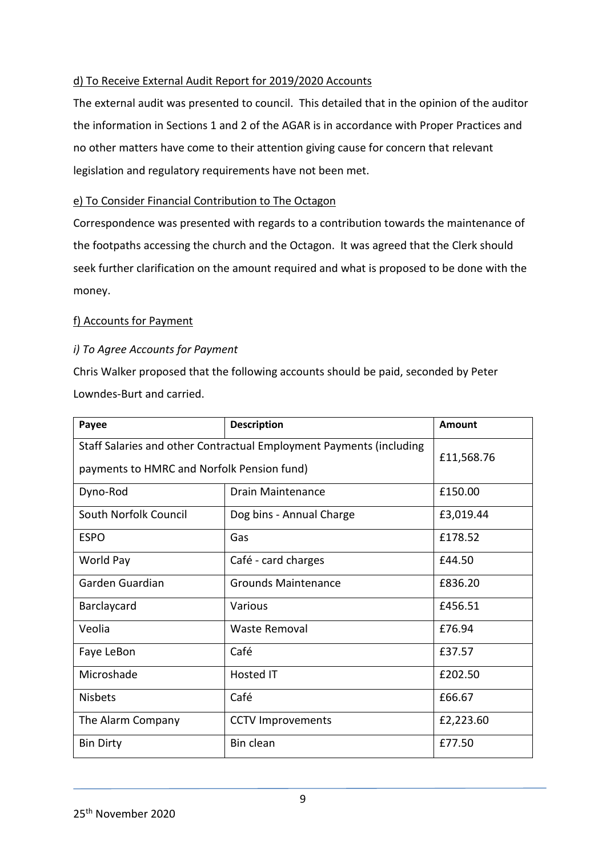## d) To Receive External Audit Report for 2019/2020 Accounts

The external audit was presented to council. This detailed that in the opinion of the auditor the information in Sections 1 and 2 of the AGAR is in accordance with Proper Practices and no other matters have come to their attention giving cause for concern that relevant legislation and regulatory requirements have not been met.

#### e) To Consider Financial Contribution to The Octagon

Correspondence was presented with regards to a contribution towards the maintenance of the footpaths accessing the church and the Octagon. It was agreed that the Clerk should seek further clarification on the amount required and what is proposed to be done with the money.

#### f) Accounts for Payment

### *i) To Agree Accounts for Payment*

Chris Walker proposed that the following accounts should be paid, seconded by Peter Lowndes-Burt and carried.

| Payee                                                               | <b>Description</b>         | Amount    |
|---------------------------------------------------------------------|----------------------------|-----------|
| Staff Salaries and other Contractual Employment Payments (including | £11,568.76                 |           |
| payments to HMRC and Norfolk Pension fund)                          |                            |           |
| Dyno-Rod                                                            | Drain Maintenance          | £150.00   |
| South Norfolk Council                                               | Dog bins - Annual Charge   | £3,019.44 |
| <b>ESPO</b>                                                         | Gas                        | £178.52   |
| World Pay                                                           | Café - card charges        | £44.50    |
| Garden Guardian                                                     | <b>Grounds Maintenance</b> | £836.20   |
| Barclaycard                                                         | Various                    | £456.51   |
| Veolia                                                              | Waste Removal              | £76.94    |
| Faye LeBon                                                          | Café                       | £37.57    |
| Microshade                                                          | <b>Hosted IT</b>           | £202.50   |
| <b>Nisbets</b>                                                      | Café                       | £66.67    |
| The Alarm Company                                                   | <b>CCTV Improvements</b>   | £2,223.60 |
| <b>Bin Dirty</b>                                                    | Bin clean                  | £77.50    |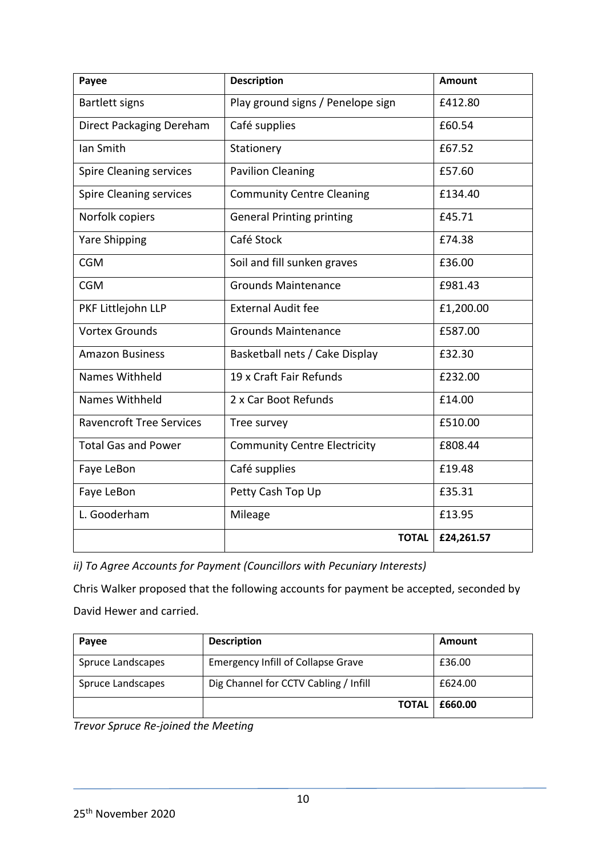| Payee                           | <b>Description</b>                  | <b>Amount</b> |
|---------------------------------|-------------------------------------|---------------|
| Bartlett signs                  | Play ground signs / Penelope sign   | £412.80       |
| Direct Packaging Dereham        | Café supplies                       | £60.54        |
| Ian Smith                       | Stationery                          | £67.52        |
| <b>Spire Cleaning services</b>  | <b>Pavilion Cleaning</b>            | £57.60        |
| <b>Spire Cleaning services</b>  | <b>Community Centre Cleaning</b>    | £134.40       |
| Norfolk copiers                 | <b>General Printing printing</b>    | £45.71        |
| <b>Yare Shipping</b>            | Café Stock                          | £74.38        |
| <b>CGM</b>                      | Soil and fill sunken graves         | £36.00        |
| <b>CGM</b>                      | <b>Grounds Maintenance</b>          | £981.43       |
| PKF Littlejohn LLP              | <b>External Audit fee</b>           | £1,200.00     |
| <b>Vortex Grounds</b>           | <b>Grounds Maintenance</b>          | £587.00       |
| <b>Amazon Business</b>          | Basketball nets / Cake Display      | £32.30        |
| Names Withheld                  | 19 x Craft Fair Refunds             | £232.00       |
| Names Withheld                  | 2 x Car Boot Refunds                | £14.00        |
| <b>Ravencroft Tree Services</b> | Tree survey                         | £510.00       |
| <b>Total Gas and Power</b>      | <b>Community Centre Electricity</b> | £808.44       |
| Faye LeBon                      | Café supplies                       | £19.48        |
| Faye LeBon                      | Petty Cash Top Up                   | £35.31        |
| L. Gooderham                    | Mileage                             | £13.95        |
|                                 | <b>TOTAL</b>                        | £24,261.57    |

*ii) To Agree Accounts for Payment (Councillors with Pecuniary Interests)*

Chris Walker proposed that the following accounts for payment be accepted, seconded by David Hewer and carried.

| Payee             | <b>Description</b>                        | Amount  |
|-------------------|-------------------------------------------|---------|
| Spruce Landscapes | <b>Emergency Infill of Collapse Grave</b> | £36.00  |
| Spruce Landscapes | Dig Channel for CCTV Cabling / Infill     | £624.00 |
|                   | <b>TOTAL</b>                              | £660.00 |

*Trevor Spruce Re-joined the Meeting*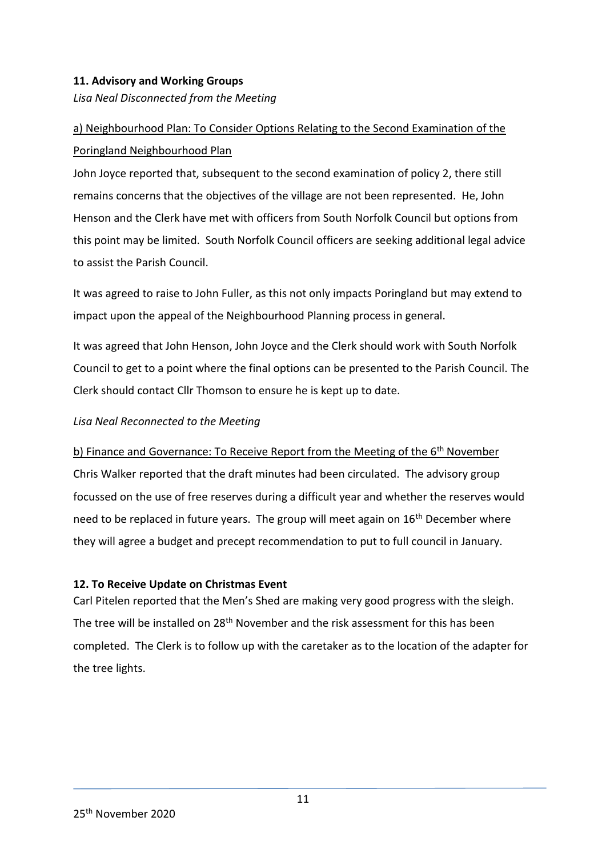## **11. Advisory and Working Groups**

*Lisa Neal Disconnected from the Meeting*

# a) Neighbourhood Plan: To Consider Options Relating to the Second Examination of the Poringland Neighbourhood Plan

John Joyce reported that, subsequent to the second examination of policy 2, there still remains concerns that the objectives of the village are not been represented. He, John Henson and the Clerk have met with officers from South Norfolk Council but options from this point may be limited. South Norfolk Council officers are seeking additional legal advice to assist the Parish Council.

It was agreed to raise to John Fuller, as this not only impacts Poringland but may extend to impact upon the appeal of the Neighbourhood Planning process in general.

It was agreed that John Henson, John Joyce and the Clerk should work with South Norfolk Council to get to a point where the final options can be presented to the Parish Council. The Clerk should contact Cllr Thomson to ensure he is kept up to date.

#### *Lisa Neal Reconnected to the Meeting*

b) Finance and Governance: To Receive Report from the Meeting of the  $6<sup>th</sup>$  November

Chris Walker reported that the draft minutes had been circulated. The advisory group focussed on the use of free reserves during a difficult year and whether the reserves would need to be replaced in future years. The group will meet again on  $16<sup>th</sup>$  December where they will agree a budget and precept recommendation to put to full council in January.

#### **12. To Receive Update on Christmas Event**

Carl Pitelen reported that the Men's Shed are making very good progress with the sleigh. The tree will be installed on 28<sup>th</sup> November and the risk assessment for this has been completed. The Clerk is to follow up with the caretaker as to the location of the adapter for the tree lights.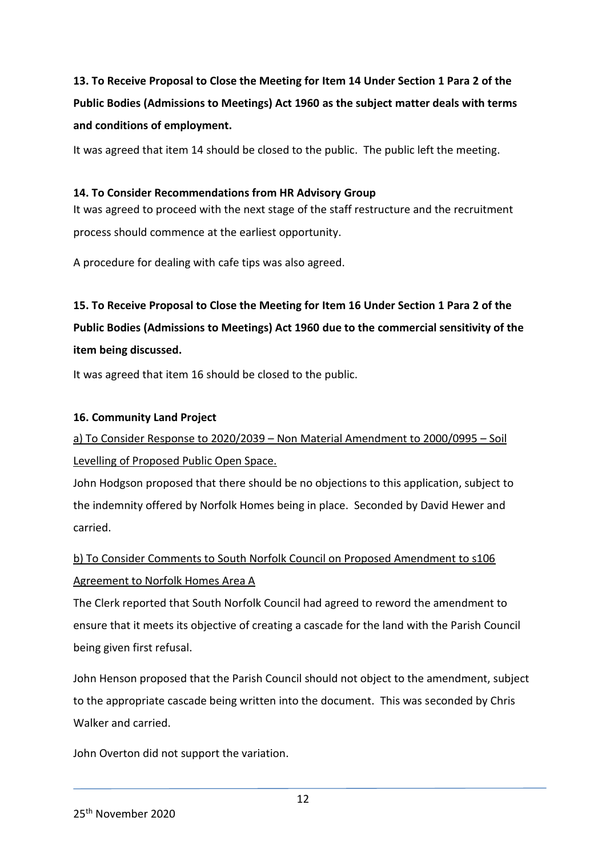# **13. To Receive Proposal to Close the Meeting for Item 14 Under Section 1 Para 2 of the Public Bodies (Admissions to Meetings) Act 1960 as the subject matter deals with terms and conditions of employment.**

It was agreed that item 14 should be closed to the public. The public left the meeting.

#### **14. To Consider Recommendations from HR Advisory Group**

It was agreed to proceed with the next stage of the staff restructure and the recruitment process should commence at the earliest opportunity.

A procedure for dealing with cafe tips was also agreed.

# **15. To Receive Proposal to Close the Meeting for Item 16 Under Section 1 Para 2 of the Public Bodies (Admissions to Meetings) Act 1960 due to the commercial sensitivity of the item being discussed.**

It was agreed that item 16 should be closed to the public.

### **16. Community Land Project**

# a) To Consider Response to 2020/2039 – Non Material Amendment to 2000/0995 – Soil Levelling of Proposed Public Open Space.

John Hodgson proposed that there should be no objections to this application, subject to the indemnity offered by Norfolk Homes being in place. Seconded by David Hewer and carried.

# b) To Consider Comments to South Norfolk Council on Proposed Amendment to s106 Agreement to Norfolk Homes Area A

The Clerk reported that South Norfolk Council had agreed to reword the amendment to ensure that it meets its objective of creating a cascade for the land with the Parish Council being given first refusal.

John Henson proposed that the Parish Council should not object to the amendment, subject to the appropriate cascade being written into the document. This was seconded by Chris Walker and carried.

John Overton did not support the variation.